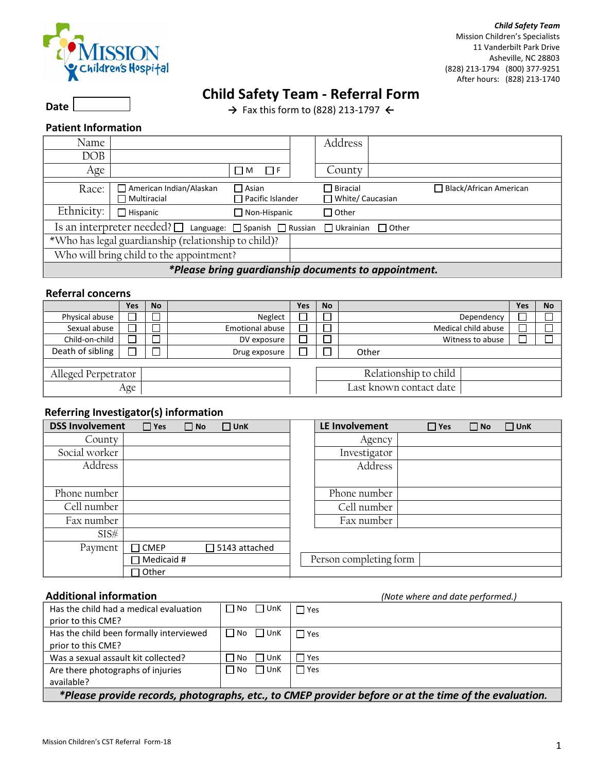

*Child Safety Team* Mission Children's Specialists 11 Vanderbilt Park Drive Asheville, NC 28803 (828) 213-1794 (800) 377-9251 After hours: (828) 213-1740

# **Child Safety Team - Referral Form**

**→** Fax this form to (828) 213-1797 **←**

## **Patient Information**

 **Date** 

| Name                                                 |                                                                               |                                         |  | Address                               |  |                               |
|------------------------------------------------------|-------------------------------------------------------------------------------|-----------------------------------------|--|---------------------------------------|--|-------------------------------|
| DOB                                                  |                                                                               |                                         |  |                                       |  |                               |
| Age                                                  |                                                                               | $\Box$ F<br>ΠМ                          |  | County                                |  |                               |
| Race:                                                | □ American Indian/Alaskan<br>$\Box$ Multiracial                               | $\Box$ Asian<br>$\Box$ Pacific Islander |  | $\Box$ Biracial<br>□ White/ Caucasian |  | $\Box$ Black/African American |
| Ethnicity:                                           | $\Box$ Hispanic                                                               | $\Box$ Non-Hispanic                     |  | □ Other                               |  |                               |
|                                                      | Is an interpreter needed? □ Language: □ Spanish □ Russian □ Ukrainian □ Other |                                         |  |                                       |  |                               |
| *Who has legal guardianship (relationship to child)? |                                                                               |                                         |  |                                       |  |                               |
| Who will bring child to the appointment?             |                                                                               |                                         |  |                                       |  |                               |
| *Please bring guardianship documents to appointment. |                                                                               |                                         |  |                                       |  |                               |

### **Referral concerns**

|                     | Yes | <b>No</b> |                 | Yes | <b>No</b>               |                     | Yes | <b>No</b> |
|---------------------|-----|-----------|-----------------|-----|-------------------------|---------------------|-----|-----------|
| Physical abuse      |     |           | Neglect         |     |                         | Dependency          |     |           |
| Sexual abuse        |     |           | Emotional abuse |     |                         | Medical child abuse |     |           |
| Child-on-child      |     |           | DV exposure     |     |                         | Witness to abuse    |     |           |
| Death of sibling    |     |           | Drug exposure   |     |                         | Other               |     |           |
|                     |     |           |                 |     |                         |                     |     |           |
| Alleged Perpetrator |     |           |                 |     | Relationship to child   |                     |     |           |
|                     | Age |           |                 |     | Last known contact date |                     |     |           |

#### **Referring Investigator(s) information**

| <b>DSS Involvement</b> | $\Box$ Yes<br>$\Box$ No | $\Box$ UnK           | LE Involvement         | $\Box$ Yes | $\Box$ No | $\Box$ UnK |
|------------------------|-------------------------|----------------------|------------------------|------------|-----------|------------|
| County                 |                         |                      | Agency                 |            |           |            |
| Social worker          |                         |                      | Investigator           |            |           |            |
| Address                |                         |                      | Address                |            |           |            |
|                        |                         |                      |                        |            |           |            |
| Phone number           |                         |                      | Phone number           |            |           |            |
| Cell number            |                         |                      | Cell number            |            |           |            |
| Fax number             |                         |                      | Fax number             |            |           |            |
| SIS#                   |                         |                      |                        |            |           |            |
| Payment                | $\Box$ CMEP             | $\Box$ 5143 attached |                        |            |           |            |
|                        | Medicaid #              |                      | Person completing form |            |           |            |
|                        | ∩ Other                 |                      |                        |            |           |            |

 **Additional information** *(Note where and date performed.)* Has the child had a medical evaluation prior to this CME?  $\Box$  No  $\Box$  UnK  $\Box$  Yes Has the child been formally interviewed prior to this CME?  $\Box$  No  $\Box$  UnK  $\Box$  Yes Was a sexual assault kit collected?  $\Box$  No  $\Box$  UnK  $\Box$  Yes Are there photographs of injuries available?  $\Box$  No  $\Box$  UnK  $\Box$  Yes *\*Please provide records, photographs, etc., to CMEP provider before or at the time of the evaluation.*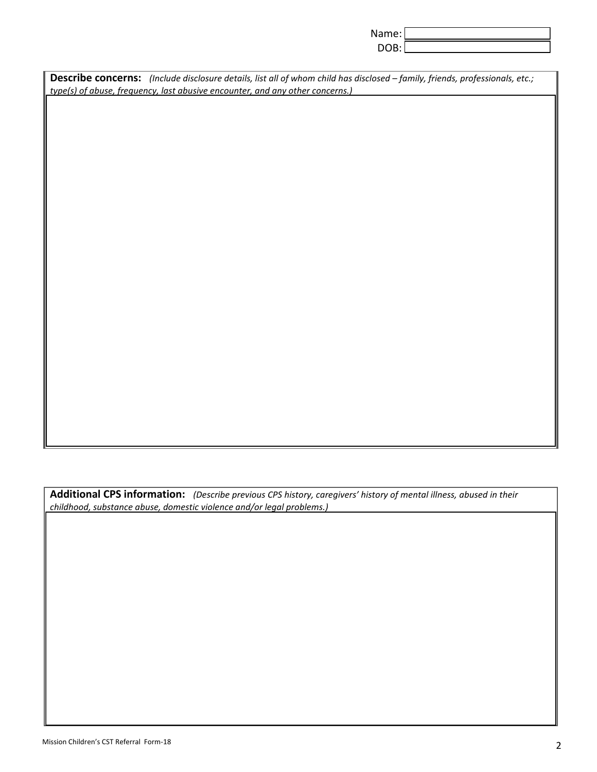| Name: |  |
|-------|--|
|       |  |

| Describe concerns: (Include disclosure details, list all of whom child has disclosed - family, friends, professionals, etc.; |
|------------------------------------------------------------------------------------------------------------------------------|
| type(s) of abuse, frequency, last abusive encounter, and any other concerns.)                                                |

**Additional CPS information:** *(Describe previous CPS history, caregivers' history of mental illness, abused in their childhood, substance abuse, domestic violence and/or legal problems.)*